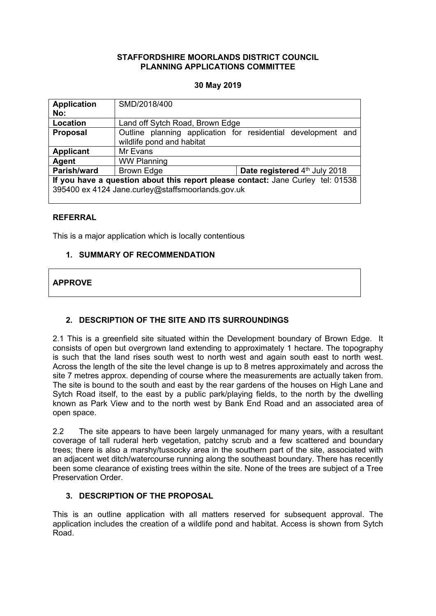### **STAFFORDSHIRE MOORLANDS DISTRICT COUNCIL PLANNING APPLICATIONS COMMITTEE**

## **30 May 2019**

| <b>Application</b>                                                              | SMD/2018/400                    |                                                              |
|---------------------------------------------------------------------------------|---------------------------------|--------------------------------------------------------------|
| No:                                                                             |                                 |                                                              |
| Location                                                                        | Land off Sytch Road, Brown Edge |                                                              |
| <b>Proposal</b>                                                                 | wildlife pond and habitat       | Outline planning application for residential development and |
| <b>Applicant</b>                                                                | Mr Evans                        |                                                              |
| Agent                                                                           | <b>WW Planning</b>              |                                                              |
| Parish/ward                                                                     | <b>Brown Edge</b>               | Date registered 4th July 2018                                |
| If you have a question about this report please contact: Jane Curley tel: 01538 |                                 |                                                              |
| 395400 ex 4124 Jane.curley@staffsmoorlands.gov.uk                               |                                 |                                                              |

## **REFERRAL**

This is a major application which is locally contentious

## **1. SUMMARY OF RECOMMENDATION**

# **APPROVE**

# **2. DESCRIPTION OF THE SITE AND ITS SURROUNDINGS**

2.1 This is a greenfield site situated within the Development boundary of Brown Edge. It consists of open but overgrown land extending to approximately 1 hectare. The topography is such that the land rises south west to north west and again south east to north west. Across the length of the site the level change is up to 8 metres approximately and across the site 7 metres approx. depending of course where the measurements are actually taken from. The site is bound to the south and east by the rear gardens of the houses on High Lane and Sytch Road itself, to the east by a public park/playing fields, to the north by the dwelling known as Park View and to the north west by Bank End Road and an associated area of open space.

2.2 The site appears to have been largely unmanaged for many years, with a resultant coverage of tall ruderal herb vegetation, patchy scrub and a few scattered and boundary trees; there is also a marshy/tussocky area in the southern part of the site, associated with an adjacent wet ditch/watercourse running along the southeast boundary. There has recently been some clearance of existing trees within the site. None of the trees are subject of a Tree Preservation Order.

## **3. DESCRIPTION OF THE PROPOSAL**

This is an outline application with all matters reserved for subsequent approval. The application includes the creation of a wildlife pond and habitat. Access is shown from Sytch Road.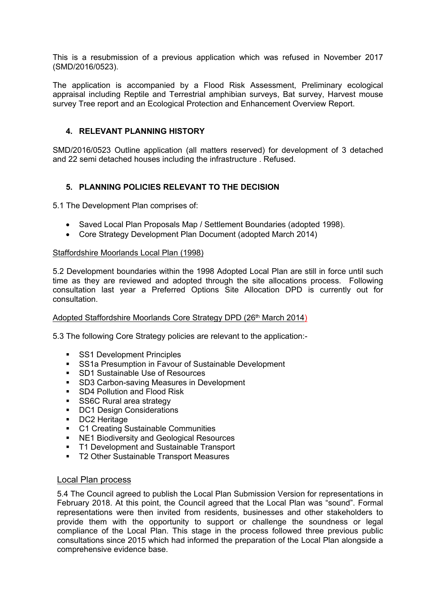This is a resubmission of a previous application which was refused in November 2017 (SMD/2016/0523).

The application is accompanied by a Flood Risk Assessment, Preliminary ecological appraisal including Reptile and Terrestrial amphibian surveys, Bat survey, Harvest mouse survey Tree report and an Ecological Protection and Enhancement Overview Report.

### **4. RELEVANT PLANNING HISTORY**

SMD/2016/0523 Outline application (all matters reserved) for development of 3 detached and 22 semi detached houses including the infrastructure . Refused.

## **5. PLANNING POLICIES RELEVANT TO THE DECISION**

5.1 The Development Plan comprises of:

- Saved Local Plan Proposals Map / Settlement Boundaries (adopted 1998).
- Core Strategy Development Plan Document (adopted March 2014)

### Staffordshire Moorlands Local Plan (1998)

5.2 Development boundaries within the 1998 Adopted Local Plan are still in force until such time as they are reviewed and adopted through the site allocations process. Following consultation last year a Preferred Options Site Allocation DPD is currently out for consultation.

### Adopted Staffordshire Moorlands Core Strategy DPD (26th March 2014)

5.3 The following Core Strategy policies are relevant to the application:-

- **SS1 Development Principles**
- **SS1a Presumption in Favour of Sustainable Development**
- **SD1 Sustainable Use of Resources**
- **SD3 Carbon-saving Measures in Development**<br>
SD4 Pollution and Flood Risk
- SD4 Pollution and Flood Risk
- **SS6C Rural area strategy**
- DC1 Design Considerations
- **DC2** Heritage
- **C1 Creating Sustainable Communities**
- **NE1 Biodiversity and Geological Resources**
- **T1 Development and Sustainable Transport**
- **T2 Other Sustainable Transport Measures**

## Local Plan process

5.4 The Council agreed to publish the Local Plan Submission Version for representations in February 2018. At this point, the Council agreed that the Local Plan was "sound". Formal representations were then invited from residents, businesses and other stakeholders to provide them with the opportunity to support or challenge the soundness or legal compliance of the Local Plan. This stage in the process followed three previous public consultations since 2015 which had informed the preparation of the Local Plan alongside a comprehensive evidence base.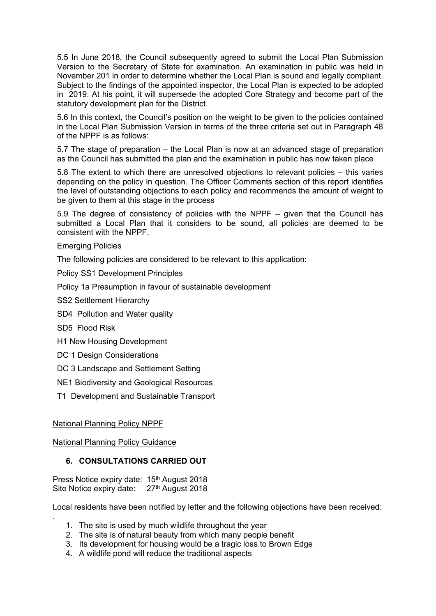5.5 In June 2018, the Council subsequently agreed to submit the Local Plan Submission Version to the Secretary of State for examination. An examination in public was held in November 201 in order to determine whether the Local Plan is sound and legally compliant. Subject to the findings of the appointed inspector, the Local Plan is expected to be adopted in 2019. At his point, it will supersede the adopted Core Strategy and become part of the statutory development plan for the District.

5.6 In this context, the Council's position on the weight to be given to the policies contained in the Local Plan Submission Version in terms of the three criteria set out in Paragraph 48 of the NPPF is as follows:

5.7 The stage of preparation – the Local Plan is now at an advanced stage of preparation as the Council has submitted the plan and the examination in public has now taken place

5.8 The extent to which there are unresolved objections to relevant policies – this varies depending on the policy in question. The Officer Comments section of this report identifies the level of outstanding objections to each policy and recommends the amount of weight to be given to them at this stage in the process

5.9 The degree of consistency of policies with the NPPF – given that the Council has submitted a Local Plan that it considers to be sound, all policies are deemed to be consistent with the NPPF.

## Emerging Policies

The following policies are considered to be relevant to this application:

Policy SS1 Development Principles

Policy 1a Presumption in favour of sustainable development

SS2 Settlement Hierarchy

SD4 Pollution and Water quality

SD5 Flood Risk

.

- H1 New Housing Development
- DC 1 Design Considerations
- DC 3 Landscape and Settlement Setting

NE1 Biodiversity and Geological Resources

T1 Development and Sustainable Transport

### National Planning Policy NPPF

National Planning Policy Guidance

## **6. CONSULTATIONS CARRIED OUT**

Press Notice expiry date: 15<sup>th</sup> August 2018 Site Notice expiry date: 27<sup>th</sup> August 2018

Local residents have been notified by letter and the following objections have been received:

- 1. The site is used by much wildlife throughout the year
- 2. The site is of natural beauty from which many people benefit
- 3. Its development for housing would be a tragic loss to Brown Edge
- 4. A wildlife pond will reduce the traditional aspects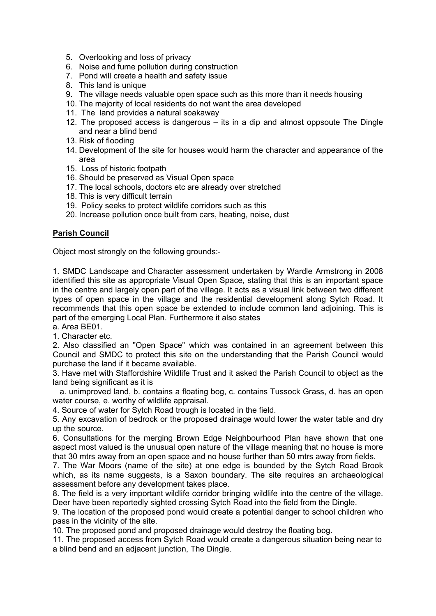- 5. Overlooking and loss of privacy
- 6. Noise and fume pollution during construction
- 7. Pond will create a health and safety issue
- 8. This land is unique
- 9. The village needs valuable open space such as this more than it needs housing
- 10. The majority of local residents do not want the area developed
- 11. The land provides a natural soakaway
- 12. The proposed access is dangerous its in a dip and almost oppsoute The Dingle and near a blind bend
- 13. Risk of flooding
- 14. Development of the site for houses would harm the character and appearance of the area
- 15. Loss of historic footpath
- 16. Should be preserved as Visual Open space
- 17. The local schools, doctors etc are already over stretched
- 18. This is very difficult terrain
- 19. Policy seeks to protect wildlife corridors such as this
- 20. Increase pollution once built from cars, heating, noise, dust

## **Parish Council**

Object most strongly on the following grounds:-

1. SMDC Landscape and Character assessment undertaken by Wardle Armstrong in 2008 identified this site as appropriate Visual Open Space, stating that this is an important space in the centre and largely open part of the village. It acts as a visual link between two different types of open space in the village and the residential development along Sytch Road. It recommends that this open space be extended to include common land adjoining. This is part of the emerging Local Plan. Furthermore it also states

a. Area BE01.

1. Character etc.

2. Also classified an "Open Space" which was contained in an agreement between this Council and SMDC to protect this site on the understanding that the Parish Council would purchase the land if it became available.

3. Have met with Staffordshire Wildlife Trust and it asked the Parish Council to object as the land being significant as it is

a. unimproved land, b. contains a floating bog, c. contains Tussock Grass, d. has an open water course, e. worthy of wildlife appraisal.

4. Source of water for Sytch Road trough is located in the field.

5. Any excavation of bedrock or the proposed drainage would lower the water table and dry up the source.

6. Consultations for the merging Brown Edge Neighbourhood Plan have shown that one aspect most valued is the unusual open nature of the village meaning that no house is more that 30 mtrs away from an open space and no house further than 50 mtrs away from fields.

7. The War Moors (name of the site) at one edge is bounded by the Sytch Road Brook which, as its name suggests, is a Saxon boundary. The site requires an archaeological assessment before any development takes place.

8. The field is a very important wildlife corridor bringing wildlife into the centre of the village. Deer have been reportedly sighted crossing Sytch Road into the field from the Dingle.

9. The location of the proposed pond would create a potential danger to school children who pass in the vicinity of the site.

10. The proposed pond and proposed drainage would destroy the floating bog.

11. The proposed access from Sytch Road would create a dangerous situation being near to a blind bend and an adjacent junction, The Dingle.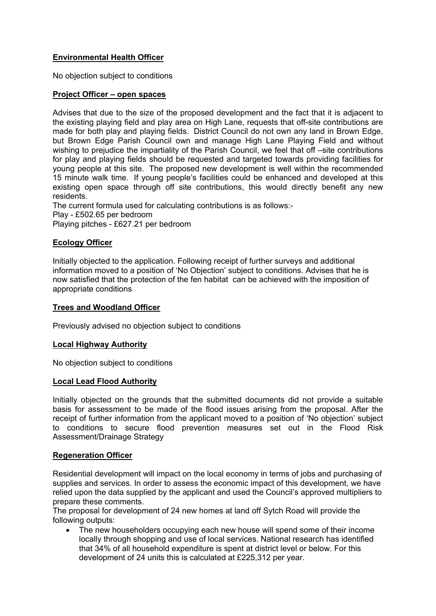# **Environmental Health Officer**

No objection subject to conditions

### **Project Officer – open spaces**

Advises that due to the size of the proposed development and the fact that it is adjacent to the existing playing field and play area on High Lane, requests that off-site contributions are made for both play and playing fields. District Council do not own any land in Brown Edge, but Brown Edge Parish Council own and manage High Lane Playing Field and without wishing to prejudice the impartiality of the Parish Council, we feel that off –site contributions for play and playing fields should be requested and targeted towards providing facilities for young people at this site. The proposed new development is well within the recommended 15 minute walk time. If young people's facilities could be enhanced and developed at this existing open space through off site contributions, this would directly benefit any new residents.

The current formula used for calculating contributions is as follows:- Play - £502.65 per bedroom Playing pitches - £627.21 per bedroom

# **Ecology Officer**

Initially objected to the application. Following receipt of further surveys and additional information moved to a position of 'No Objection' subject to conditions. Advises that he is now satisfied that the protection of the fen habitat can be achieved with the imposition of appropriate conditions

### **Trees and Woodland Officer**

Previously advised no objection subject to conditions

## **Local Highway Authority**

No objection subject to conditions

## **Local Lead Flood Authority**

Initially objected on the grounds that the submitted documents did not provide a suitable basis for assessment to be made of the flood issues arising from the proposal. After the receipt of further information from the applicant moved to a position of 'No objection' subject to conditions to secure flood prevention measures set out in the Flood Risk Assessment/Drainage Strategy

### **Regeneration Officer**

Residential development will impact on the local economy in terms of jobs and purchasing of supplies and services. In order to assess the economic impact of this development, we have relied upon the data supplied by the applicant and used the Council's approved multipliers to prepare these comments.

The proposal for development of 24 new homes at land off Sytch Road will provide the following outputs:

 The new householders occupying each new house will spend some of their income locally through shopping and use of local services. National research has identified that 34% of all household expenditure is spent at district level or below. For this development of 24 units this is calculated at £225,312 per year.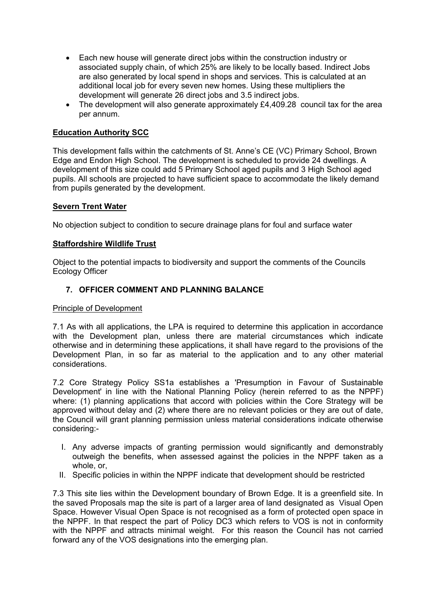- Each new house will generate direct jobs within the construction industry or associated supply chain, of which 25% are likely to be locally based. Indirect Jobs are also generated by local spend in shops and services. This is calculated at an additional local job for every seven new homes. Using these multipliers the development will generate 26 direct jobs and 3.5 indirect jobs.
- The development will also generate approximately £4,409.28 council tax for the area per annum.

# **Education Authority SCC**

This development falls within the catchments of St. Anne's CE (VC) Primary School, Brown Edge and Endon High School. The development is scheduled to provide 24 dwellings. A development of this size could add 5 Primary School aged pupils and 3 High School aged pupils. All schools are projected to have sufficient space to accommodate the likely demand from pupils generated by the development.

### **Severn Trent Water**

No objection subject to condition to secure drainage plans for foul and surface water

## **Staffordshire Wildlife Trust**

Object to the potential impacts to biodiversity and support the comments of the Councils Ecology Officer

## **7. OFFICER COMMENT AND PLANNING BALANCE**

### Principle of Development

7.1 As with all applications, the LPA is required to determine this application in accordance with the Development plan, unless there are material circumstances which indicate otherwise and in determining these applications, it shall have regard to the provisions of the Development Plan, in so far as material to the application and to any other material considerations.

7.2 Core Strategy Policy SS1a establishes a 'Presumption in Favour of Sustainable Development' in line with the National Planning Policy (herein referred to as the NPPF) where: (1) planning applications that accord with policies within the Core Strategy will be approved without delay and (2) where there are no relevant policies or they are out of date, the Council will grant planning permission unless material considerations indicate otherwise considering:-

- I. Any adverse impacts of granting permission would significantly and demonstrably outweigh the benefits, when assessed against the policies in the NPPF taken as a whole, or,
- II. Specific policies in within the NPPF indicate that development should be restricted

7.3 This site lies within the Development boundary of Brown Edge. It is a greenfield site. In the saved Proposals map the site is part of a larger area of land designated as Visual Open Space. However Visual Open Space is not recognised as a form of protected open space in the NPPF. In that respect the part of Policy DC3 which refers to VOS is not in conformity with the NPPF and attracts minimal weight. For this reason the Council has not carried forward any of the VOS designations into the emerging plan.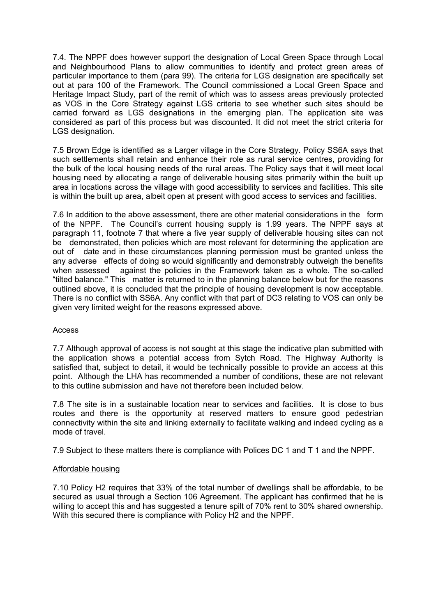7.4. The NPPF does however support the designation of Local Green Space through Local and Neighbourhood Plans to allow communities to identify and protect green areas of particular importance to them (para 99). The criteria for LGS designation are specifically set out at para 100 of the Framework. The Council commissioned a Local Green Space and Heritage Impact Study, part of the remit of which was to assess areas previously protected as VOS in the Core Strategy against LGS criteria to see whether such sites should be carried forward as LGS designations in the emerging plan. The application site was considered as part of this process but was discounted. It did not meet the strict criteria for LGS designation.

7.5 Brown Edge is identified as a Larger village in the Core Strategy. Policy SS6A says that such settlements shall retain and enhance their role as rural service centres, providing for the bulk of the local housing needs of the rural areas. The Policy says that it will meet local housing need by allocating a range of deliverable housing sites primarily within the built up area in locations across the village with good accessibility to services and facilities. This site is within the built up area, albeit open at present with good access to services and facilities.

7.6 In addition to the above assessment, there are other material considerations in the form of the NPPF. The Council's current housing supply is 1.99 years. The NPPF says at paragraph 11, footnote 7 that where a five year supply of deliverable housing sites can not be demonstrated, then policies which are most relevant for determining the application are out of date and in these circumstances planning permission must be granted unless the any adverse effects of doing so would significantly and demonstrably outweigh the benefits when assessed against the policies in the Framework taken as a whole. The so-called "tilted balance." This matter is returned to in the planning balance below but for the reasons outlined above, it is concluded that the principle of housing development is now acceptable. There is no conflict with SS6A. Any conflict with that part of DC3 relating to VOS can only be given very limited weight for the reasons expressed above.

### Access

7.7 Although approval of access is not sought at this stage the indicative plan submitted with the application shows a potential access from Sytch Road. The Highway Authority is satisfied that, subject to detail, it would be technically possible to provide an access at this point. Although the LHA has recommended a number of conditions, these are not relevant to this outline submission and have not therefore been included below.

7.8 The site is in a sustainable location near to services and facilities. It is close to bus routes and there is the opportunity at reserved matters to ensure good pedestrian connectivity within the site and linking externally to facilitate walking and indeed cycling as a mode of travel.

7.9 Subject to these matters there is compliance with Polices DC 1 and T 1 and the NPPF.

## Affordable housing

7.10 Policy H2 requires that 33% of the total number of dwellings shall be affordable, to be secured as usual through a Section 106 Agreement. The applicant has confirmed that he is willing to accept this and has suggested a tenure spilt of 70% rent to 30% shared ownership. With this secured there is compliance with Policy H2 and the NPPF.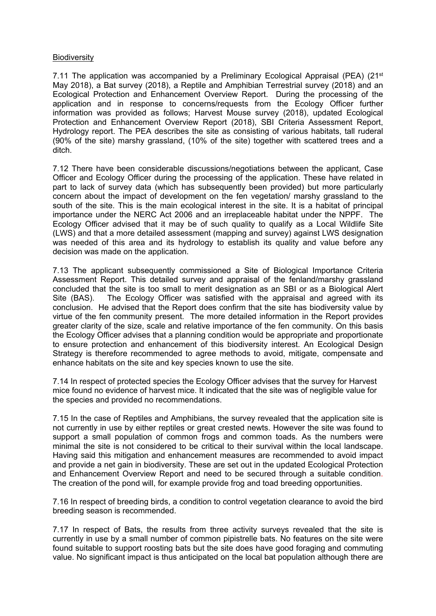### **Biodiversity**

7.11 The application was accompanied by a Preliminary Ecological Appraisal (PEA) (21<sup>st</sup> May 2018), a Bat survey (2018), a Reptile and Amphibian Terrestrial survey (2018) and an Ecological Protection and Enhancement Overview Report. During the processing of the application and in response to concerns/requests from the Ecology Officer further information was provided as follows; Harvest Mouse survey (2018), updated Ecological Protection and Enhancement Overview Report (2018), SBI Criteria Assessment Report, Hydrology report. The PEA describes the site as consisting of various habitats, tall ruderal (90% of the site) marshy grassland, (10% of the site) together with scattered trees and a ditch.

7.12 There have been considerable discussions/negotiations between the applicant, Case Officer and Ecology Officer during the processing of the application. These have related in part to lack of survey data (which has subsequently been provided) but more particularly concern about the impact of development on the fen vegetation/ marshy grassland to the south of the site. This is the main ecological interest in the site. It is a habitat of principal importance under the NERC Act 2006 and an irreplaceable habitat under the NPPF. The Ecology Officer advised that it may be of such quality to qualify as a Local Wildlife Site (LWS) and that a more detailed assessment (mapping and survey) against LWS designation was needed of this area and its hydrology to establish its quality and value before any decision was made on the application.

7.13 The applicant subsequently commissioned a Site of Biological Importance Criteria Assessment Report. This detailed survey and appraisal of the fenland/marshy grassland concluded that the site is too small to merit designation as an SBI or as a Biological Alert Site (BAS). The Ecology Officer was satisfied with the appraisal and agreed with its conclusion. He advised that the Report does confirm that the site has biodiversity value by virtue of the fen community present. The more detailed information in the Report provides greater clarity of the size, scale and relative importance of the fen community. On this basis the Ecology Officer advises that a planning condition would be appropriate and proportionate to ensure protection and enhancement of this biodiversity interest. An Ecological Design Strategy is therefore recommended to agree methods to avoid, mitigate, compensate and enhance habitats on the site and key species known to use the site.

7.14 In respect of protected species the Ecology Officer advises that the survey for Harvest mice found no evidence of harvest mice. It indicated that the site was of negligible value for the species and provided no recommendations.

7.15 In the case of Reptiles and Amphibians, the survey revealed that the application site is not currently in use by either reptiles or great crested newts. However the site was found to support a small population of common frogs and common toads. As the numbers were minimal the site is not considered to be critical to their survival within the local landscape. Having said this mitigation and enhancement measures are recommended to avoid impact and provide a net gain in biodiversity. These are set out in the updated Ecological Protection and Enhancement Overview Report and need to be secured through a suitable condition. The creation of the pond will, for example provide frog and toad breeding opportunities.

7.16 In respect of breeding birds, a condition to control vegetation clearance to avoid the bird breeding season is recommended.

7.17 In respect of Bats, the results from three activity surveys revealed that the site is currently in use by a small number of common pipistrelle bats. No features on the site were found suitable to support roosting bats but the site does have good foraging and commuting value. No significant impact is thus anticipated on the local bat population although there are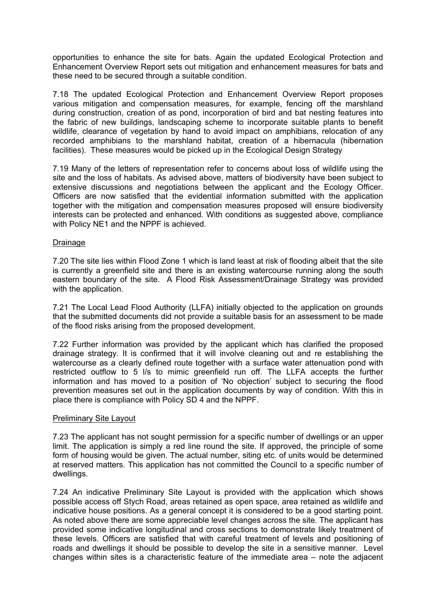opportunities to enhance the site for bats. Again the updated Ecological Protection and Enhancement Overview Report sets out mitigation and enhancement measures for bats and these need to be secured through a suitable condition.

7.18 The updated Ecological Protection and Enhancement Overview Report proposes various mitigation and compensation measures, for example, fencing off the marshland during construction, creation of as pond, incorporation of bird and bat nesting features into the fabric of new buildings, landscaping scheme to incorporate suitable plants to benefit wildlife, clearance of vegetation by hand to avoid impact on amphibians, relocation of any recorded amphibians to the marshland habitat, creation of a hibernacula (hibernation facilities). These measures would be picked up in the Ecological Design Strategy

7.19 Many of the letters of representation refer to concerns about loss of wildlife using the site and the loss of habitats. As advised above, matters of biodiversity have been subject to extensive discussions and negotiations between the applicant and the Ecology Officer. Officers are now satisfied that the evidential information submitted with the application together with the mitigation and compensation measures proposed will ensure biodiversity interests can be protected and enhanced. With conditions as suggested above, compliance with Policy NE1 and the NPPF is achieved.

## Drainage

7.20 The site lies within Flood Zone 1 which is land least at risk of flooding albeit that the site is currently a greenfield site and there is an existing watercourse running along the south eastern boundary of the site. A Flood Risk Assessment/Drainage Strategy was provided with the application.

7.21 The Local Lead Flood Authority (LLFA) initially objected to the application on grounds that the submitted documents did not provide a suitable basis for an assessment to be made of the flood risks arising from the proposed development.

7.22 Further information was provided by the applicant which has clarified the proposed drainage strategy. It is confirmed that it will involve cleaning out and re establishing the watercourse as a clearly defined route together with a surface water attenuation pond with restricted outflow to 5 l/s to mimic greenfield run off. The LLFA accepts the further information and has moved to a position of 'No objection' subject to securing the flood prevention measures set out in the application documents by way of condition. With this in place there is compliance with Policy SD 4 and the NPPF.

### Preliminary Site Layout

7.23 The applicant has not sought permission for a specific number of dwellings or an upper limit. The application is simply a red line round the site. If approved, the principle of some form of housing would be given. The actual number, siting etc. of units would be determined at reserved matters. This application has not committed the Council to a specific number of dwellings.

7.24 An indicative Preliminary Site Layout is provided with the application which shows possible access off Stych Road, areas retained as open space, area retained as wildlife and indicative house positions. As a general concept it is considered to be a good starting point. As noted above there are some appreciable level changes across the site. The applicant has provided some indicative longitudinal and cross sections to demonstrate likely treatment of these levels. Officers are satisfied that with careful treatment of levels and positioning of roads and dwellings it should be possible to develop the site in a sensitive manner. Level changes within sites is a characteristic feature of the immediate area – note the adjacent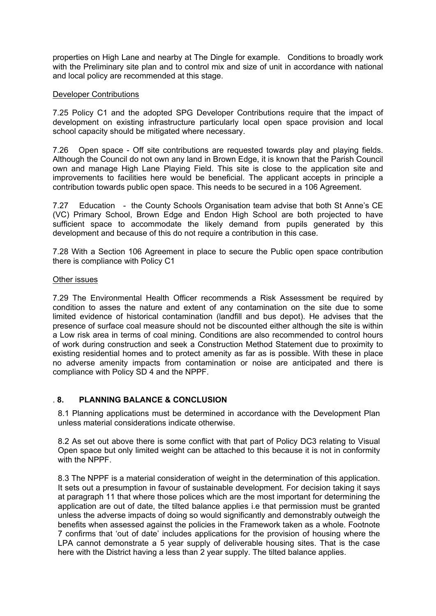properties on High Lane and nearby at The Dingle for example. Conditions to broadly work with the Preliminary site plan and to control mix and size of unit in accordance with national and local policy are recommended at this stage.

### Developer Contributions

7.25 Policy C1 and the adopted SPG Developer Contributions require that the impact of development on existing infrastructure particularly local open space provision and local school capacity should be mitigated where necessary.

7.26 Open space - Off site contributions are requested towards play and playing fields. Although the Council do not own any land in Brown Edge, it is known that the Parish Council own and manage High Lane Playing Field. This site is close to the application site and improvements to facilities here would be beneficial. The applicant accepts in principle a contribution towards public open space. This needs to be secured in a 106 Agreement.

7.27 Education - the County Schools Organisation team advise that both St Anne's CE (VC) Primary School, Brown Edge and Endon High School are both projected to have sufficient space to accommodate the likely demand from pupils generated by this development and because of this do not require a contribution in this case.

7.28 With a Section 106 Agreement in place to secure the Public open space contribution there is compliance with Policy C1

### Other issues

7.29 The Environmental Health Officer recommends a Risk Assessment be required by condition to asses the nature and extent of any contamination on the site due to some limited evidence of historical contamination (landfill and bus depot). He advises that the presence of surface coal measure should not be discounted either although the site is within a Low risk area in terms of coal mining. Conditions are also recommended to control hours of work during construction and seek a Construction Method Statement due to proximity to existing residential homes and to protect amenity as far as is possible. With these in place no adverse amenity impacts from contamination or noise are anticipated and there is compliance with Policy SD 4 and the NPPF.

## . **8. PLANNING BALANCE & CONCLUSION**

8.1 Planning applications must be determined in accordance with the Development Plan unless material considerations indicate otherwise.

8.2 As set out above there is some conflict with that part of Policy DC3 relating to Visual Open space but only limited weight can be attached to this because it is not in conformity with the NPPF.

8.3 The NPPF is a material consideration of weight in the determination of this application. It sets out a presumption in favour of sustainable development. For decision taking it says at paragraph 11 that where those polices which are the most important for determining the application are out of date, the tilted balance applies i.e that permission must be granted unless the adverse impacts of doing so would significantly and demonstrably outweigh the benefits when assessed against the policies in the Framework taken as a whole. Footnote 7 confirms that 'out of date' includes applications for the provision of housing where the LPA cannot demonstrate a 5 year supply of deliverable housing sites. That is the case here with the District having a less than 2 year supply. The tilted balance applies.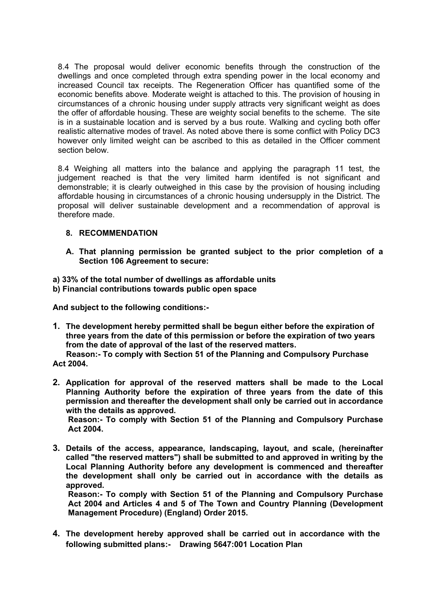8.4 The proposal would deliver economic benefits through the construction of the dwellings and once completed through extra spending power in the local economy and increased Council tax receipts. The Regeneration Officer has quantified some of the economic benefits above. Moderate weight is attached to this. The provision of housing in circumstances of a chronic housing under supply attracts very significant weight as does the offer of affordable housing. These are weighty social benefits to the scheme. The site is in a sustainable location and is served by a bus route. Walking and cycling both offer realistic alternative modes of travel. As noted above there is some conflict with Policy DC3 however only limited weight can be ascribed to this as detailed in the Officer comment section below.

8.4 Weighing all matters into the balance and applying the paragraph 11 test, the judgement reached is that the very limited harm identifed is not significant and demonstrable; it is clearly outweighed in this case by the provision of housing including affordable housing in circumstances of a chronic housing undersupply in the District. The proposal will deliver sustainable development and a recommendation of approval is therefore made.

## **8. RECOMMENDATION**

**A. That planning permission be granted subject to the prior completion of a Section 106 Agreement to secure:**

#### **a) 33% of the total number of dwellings as affordable units b) Financial contributions towards public open space**

**And subject to the following conditions:-**

**1. The development hereby permitted shall be begun either before the expiration of three years from the date of this permission or before the expiration of two years from the date of approval of the last of the reserved matters.**

 **Reason:- To comply with Section 51 of the Planning and Compulsory Purchase Act 2004.**

**2. Application for approval of the reserved matters shall be made to the Local Planning Authority before the expiration of three years from the date of this permission and thereafter the development shall only be carried out in accordance with the details as approved.**

**Reason:- To comply with Section 51 of the Planning and Compulsory Purchase Act 2004.**

**3. Details of the access, appearance, landscaping, layout, and scale, (hereinafter called "the reserved matters") shall be submitted to and approved in writing by the Local Planning Authority before any development is commenced and thereafter the development shall only be carried out in accordance with the details as approved.**

**Reason:- To comply with Section 51 of the Planning and Compulsory Purchase Act 2004 and Articles 4 and 5 of The Town and Country Planning (Development Management Procedure) (England) Order 2015.**

**4. The development hereby approved shall be carried out in accordance with the following submitted plans:- Drawing 5647:001 Location Plan**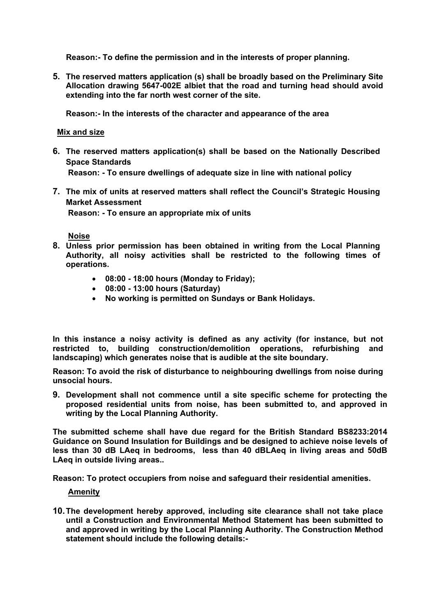**Reason:- To define the permission and in the interests of proper planning.**

**5. The reserved matters application (s) shall be broadly based on the Preliminary Site Allocation drawing 5647-002E albiet that the road and turning head should avoid extending into the far north west corner of the site.**

**Reason:- In the interests of the character and appearance of the area**

### **Mix and size**

**6. The reserved matters application(s) shall be based on the Nationally Described Space Standards** 

**Reason: - To ensure dwellings of adequate size in line with national policy**

**7. The mix of units at reserved matters shall reflect the Council's Strategic Housing Market Assessment**

**Reason: - To ensure an appropriate mix of units**

**Noise**

- **8. Unless prior permission has been obtained in writing from the Local Planning Authority, all noisy activities shall be restricted to the following times of operations.**
	- **08:00 - 18:00 hours (Monday to Friday);**
	- **08:00 - 13:00 hours (Saturday)**
	- **No working is permitted on Sundays or Bank Holidays.**

**In this instance a noisy activity is defined as any activity (for instance, but not restricted to, building construction/demolition operations, refurbishing and landscaping) which generates noise that is audible at the site boundary.** 

**Reason: To avoid the risk of disturbance to neighbouring dwellings from noise during unsocial hours.**

**9. Development shall not commence until a site specific scheme for protecting the proposed residential units from noise, has been submitted to, and approved in writing by the Local Planning Authority.**

**The submitted scheme shall have due regard for the British Standard BS8233:2014 Guidance on Sound Insulation for Buildings and be designed to achieve noise levels of less than 30 dB LAeq in bedrooms, less than 40 dBLAeq in living areas and 50dB LAeq in outside living areas..**

**Reason: To protect occupiers from noise and safeguard their residential amenities.**

### **Amenity**

**10.The development hereby approved, including site clearance shall not take place until a Construction and Environmental Method Statement has been submitted to and approved in writing by the Local Planning Authority. The Construction Method statement should include the following details:-**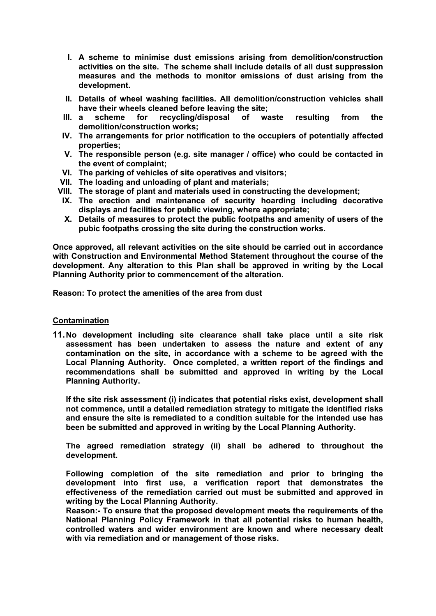- **I. A scheme to minimise dust emissions arising from demolition/construction activities on the site. The scheme shall include details of all dust suppression measures and the methods to monitor emissions of dust arising from the development.**
- **II. Details of wheel washing facilities. All demolition/construction vehicles shall have their wheels cleaned before leaving the site;**
- **III. a scheme for recycling/disposal of waste resulting from the demolition/construction works;**
- **IV. The arrangements for prior notification to the occupiers of potentially affected properties;**
- **V. The responsible person (e.g. site manager / office) who could be contacted in the event of complaint;**
- **VI. The parking of vehicles of site operatives and visitors;**
- **VII. The loading and unloading of plant and materials;**
- **VIII. The storage of plant and materials used in constructing the development;**
- **IX. The erection and maintenance of security hoarding including decorative displays and facilities for public viewing, where appropriate;**
- **X. Details of measures to protect the public footpaths and amenity of users of the pubic footpaths crossing the site during the construction works.**

**Once approved, all relevant activities on the site should be carried out in accordance with Construction and Environmental Method Statement throughout the course of the development. Any alteration to this Plan shall be approved in writing by the Local Planning Authority prior to commencement of the alteration.**

**Reason: To protect the amenities of the area from dust**

## **Contamination**

**11.No development including site clearance shall take place until a site risk assessment has been undertaken to assess the nature and extent of any contamination on the site, in accordance with a scheme to be agreed with the Local Planning Authority. Once completed, a written report of the findings and recommendations shall be submitted and approved in writing by the Local Planning Authority.**

**If the site risk assessment (i) indicates that potential risks exist, development shall not commence, until a detailed remediation strategy to mitigate the identified risks and ensure the site is remediated to a condition suitable for the intended use has been be submitted and approved in writing by the Local Planning Authority.**

**The agreed remediation strategy (ii) shall be adhered to throughout the development.** 

**Following completion of the site remediation and prior to bringing the development into first use, a verification report that demonstrates the effectiveness of the remediation carried out must be submitted and approved in writing by the Local Planning Authority.**

**Reason:- To ensure that the proposed development meets the requirements of the National Planning Policy Framework in that all potential risks to human health, controlled waters and wider environment are known and where necessary dealt with via remediation and or management of those risks.**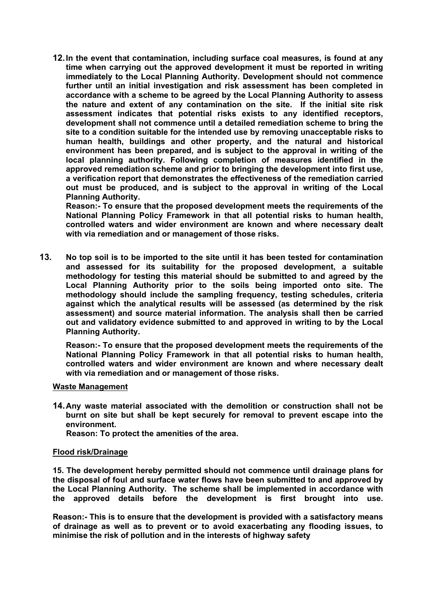**12.In the event that contamination, including surface coal measures, is found at any time when carrying out the approved development it must be reported in writing immediately to the Local Planning Authority. Development should not commence further until an initial investigation and risk assessment has been completed in accordance with a scheme to be agreed by the Local Planning Authority to assess the nature and extent of any contamination on the site. If the initial site risk assessment indicates that potential risks exists to any identified receptors, development shall not commence until a detailed remediation scheme to bring the site to a condition suitable for the intended use by removing unacceptable risks to human health, buildings and other property, and the natural and historical environment has been prepared, and is subject to the approval in writing of the local planning authority. Following completion of measures identified in the approved remediation scheme and prior to bringing the development into first use, a verification report that demonstrates the effectiveness of the remediation carried out must be produced, and is subject to the approval in writing of the Local Planning Authority.**

**Reason:- To ensure that the proposed development meets the requirements of the National Planning Policy Framework in that all potential risks to human health, controlled waters and wider environment are known and where necessary dealt with via remediation and or management of those risks.**

**13. No top soil is to be imported to the site until it has been tested for contamination and assessed for its suitability for the proposed development, a suitable methodology for testing this material should be submitted to and agreed by the Local Planning Authority prior to the soils being imported onto site. The methodology should include the sampling frequency, testing schedules, criteria against which the analytical results will be assessed (as determined by the risk assessment) and source material information. The analysis shall then be carried out and validatory evidence submitted to and approved in writing to by the Local Planning Authority.**

**Reason:- To ensure that the proposed development meets the requirements of the National Planning Policy Framework in that all potential risks to human health, controlled waters and wider environment are known and where necessary dealt with via remediation and or management of those risks.**

### **Waste Management**

**14.Any waste material associated with the demolition or construction shall not be burnt on site but shall be kept securely for removal to prevent escape into the environment.**

 **Reason: To protect the amenities of the area.**

### **Flood risk/Drainage**

**15. The development hereby permitted should not commence until drainage plans for the disposal of foul and surface water flows have been submitted to and approved by the Local Planning Authority. The scheme shall be implemented in accordance with the approved details before the development is first brought into use.**

**Reason:- This is to ensure that the development is provided with a satisfactory means of drainage as well as to prevent or to avoid exacerbating any flooding issues, to minimise the risk of pollution and in the interests of highway safety**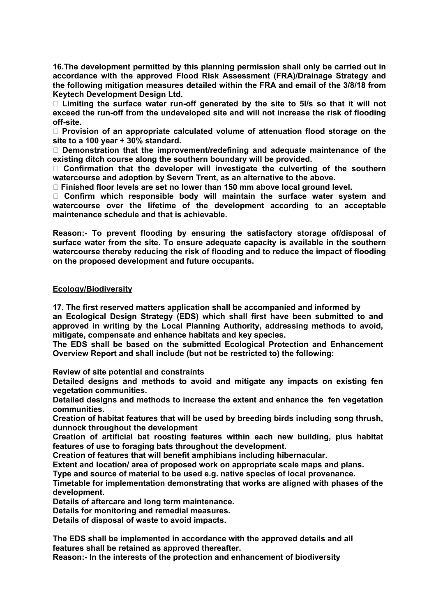**16.The development permitted by this planning permission shall only be carried out in accordance with the approved Flood Risk Assessment (FRA)/Drainage Strategy and the following mitigation measures detailed within the FRA and email of the 3/8/18 from Keytech Development Design Ltd.** 

 **Limiting the surface water run-off generated by the site to 5l/s so that it will not exceed the run-off from the undeveloped site and will not increase the risk of flooding off-site.**

 **Provision of an appropriate calculated volume of attenuation flood storage on the site to a 100 year + 30% standard.**

 **Demonstration that the improvement/redefining and adequate maintenance of the existing ditch course along the southern boundary will be provided.**

 **Confirmation that the developer will investigate the culverting of the southern watercourse and adoption by Severn Trent, as an alternative to the above.**

**Finished floor levels are set no lower than 150 mm above local ground level.**

 **Confirm which responsible body will maintain the surface water system and watercourse over the lifetime of the development according to an acceptable maintenance schedule and that is achievable.**

**Reason:- To prevent flooding by ensuring the satisfactory storage of/disposal of surface water from the site. To ensure adequate capacity is available in the southern watercourse thereby reducing the risk of flooding and to reduce the impact of flooding on the proposed development and future occupants.**

### **Ecology/Biodiversity**

**17. The first reserved matters application shall be accompanied and informed by**

**an Ecological Design Strategy (EDS) which shall first have been submitted to and approved in writing by the Local Planning Authority, addressing methods to avoid, mitigate, compensate and enhance habitats and key species.**

**The EDS shall be based on the submitted Ecological Protection and Enhancement Overview Report and shall include (but not be restricted to) the following:**

**Review of site potential and constraints**

**Detailed designs and methods to avoid and mitigate any impacts on existing fen vegetation communities.**

**Detailed designs and methods to increase the extent and enhance the fen vegetation communities.**

**Creation of habitat features that will be used by breeding birds including song thrush, dunnock throughout the development**

**Creation of artificial bat roosting features within each new building, plus habitat features of use to foraging bats throughout the development.**

**Creation of features that will benefit amphibians including hibernacular.**

**Extent and location/ area of proposed work on appropriate scale maps and plans.**

**Type and source of material to be used e.g. native species of local provenance.**

**Timetable for implementation demonstrating that works are aligned with phases of the development.**

**Details of aftercare and long term maintenance.**

**Details for monitoring and remedial measures.**

**Details of disposal of waste to avoid impacts.**

**The EDS shall be implemented in accordance with the approved details and all features shall be retained as approved thereafter.**

**Reason:- In the interests of the protection and enhancement of biodiversity**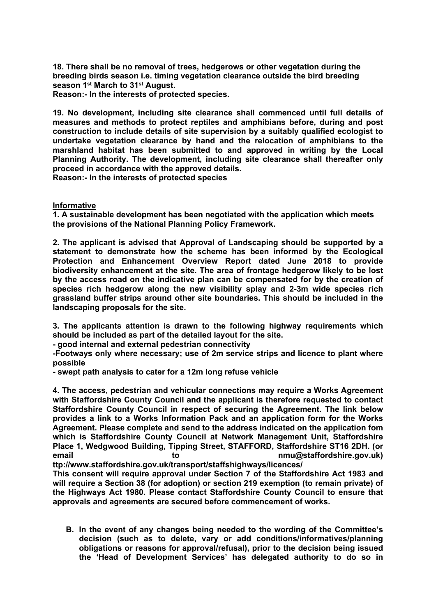**18. There shall be no removal of trees, hedgerows or other vegetation during the breeding birds season i.e. timing vegetation clearance outside the bird breeding season 1 st March to 31st August.**

**Reason:- In the interests of protected species.**

**19. No development, including site clearance shall commenced until full details of measures and methods to protect reptiles and amphibians before, during and post construction to include details of site supervision by a suitably qualified ecologist to undertake vegetation clearance by hand and the relocation of amphibians to the marshland habitat has been submitted to and approved in writing by the Local Planning Authority. The development, including site clearance shall thereafter only proceed in accordance with the approved details.**

**Reason:- In the interests of protected species**

## **Informative**

**1. A sustainable development has been negotiated with the application which meets the provisions of the National Planning Policy Framework.**

**2. The applicant is advised that Approval of Landscaping should be supported by a statement to demonstrate how the scheme has been informed by the Ecological Protection and Enhancement Overview Report dated June 2018 to provide biodiversity enhancement at the site. The area of frontage hedgerow likely to be lost by the access road on the indicative plan can be compensated for by the creation of species rich hedgerow along the new visibility splay and 2-3m wide species rich grassland buffer strips around other site boundaries. This should be included in the landscaping proposals for the site.**

**3. The applicants attention is drawn to the following highway requirements which should be included as part of the detailed layout for the site.**

**- good internal and external pedestrian connectivity**

**-Footways only where necessary; use of 2m service strips and licence to plant where possible**

**- swept path analysis to cater for a 12m long refuse vehicle**

**4. The access, pedestrian and vehicular connections may require a Works Agreement with Staffordshire County Council and the applicant is therefore requested to contact Staffordshire County Council in respect of securing the Agreement. The link below provides a link to a Works Information Pack and an application form for the Works Agreement. Please complete and send to the address indicated on the application fom which is Staffordshire County Council at Network Management Unit, Staffordshire Place 1, Wedgwood Building, Tipping Street, STAFFORD, Staffordshire ST16 2DH. (or email to nmu@staffordshire.gov.uk)** 

**ttp://www.staffordshire.gov.uk/transport/staffshighways/licences/**

**This consent will require approval under Section 7 of the Staffordshire Act 1983 and will require a Section 38 (for adoption) or section 219 exemption (to remain private) of the Highways Act 1980. Please contact Staffordshire County Council to ensure that approvals and agreements are secured before commencement of works.**

**B. In the event of any changes being needed to the wording of the Committee's decision (such as to delete, vary or add conditions/informatives/planning obligations or reasons for approval/refusal), prior to the decision being issued the 'Head of Development Services' has delegated authority to do so in**